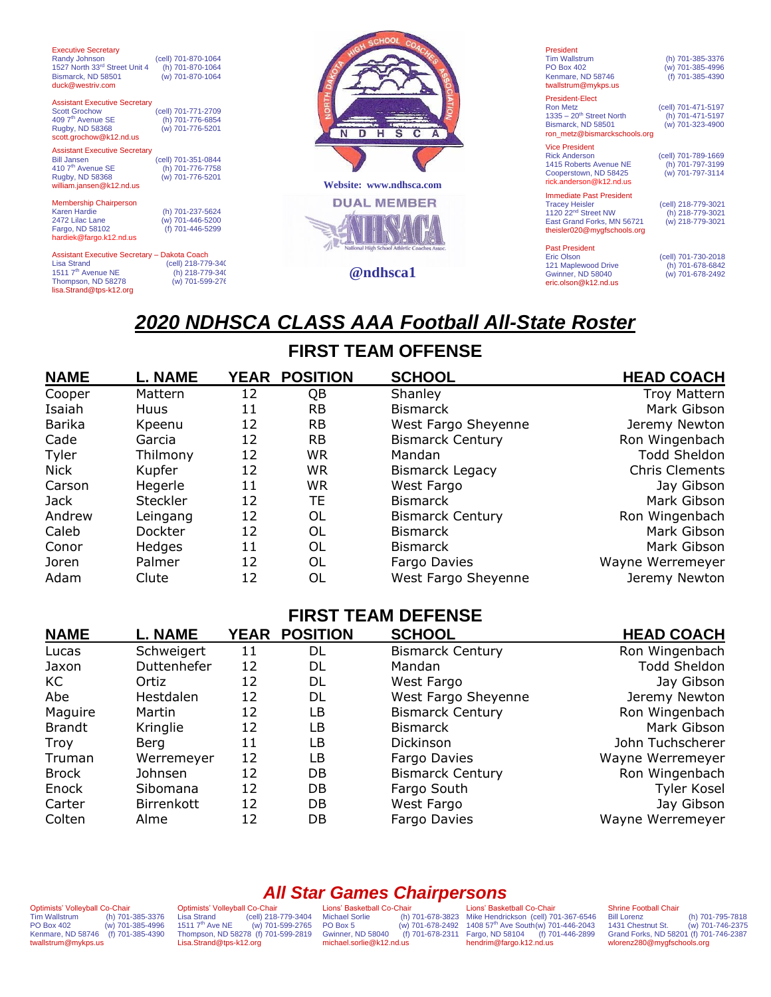| <b>Executive Secretary</b><br>Randy Johnson<br>1527 North 33rd Street Unit 4<br>Bismarck, ND 58501<br>duck@westriv.com                                | (cell) 701-870-1064<br>(h) 701-870-1064<br>(w) 701-870-1064 |                                                                | President<br><b>Tim Wallstrum</b><br><b>PO Box 402</b><br>Kenmare, ND 58746<br>twallstrum@mykps.us                                                       | (h) 701-385-3376<br>(w) 701-385-4996<br>(f) 701-385-4390    |
|-------------------------------------------------------------------------------------------------------------------------------------------------------|-------------------------------------------------------------|----------------------------------------------------------------|----------------------------------------------------------------------------------------------------------------------------------------------------------|-------------------------------------------------------------|
| <b>Assistant Executive Secretary</b><br><b>Scott Grochow</b><br>409 7 <sup>th</sup> Avenue SE<br>Rugby, ND 58368<br>scott.grochow@k12.nd.us           | (cell) 701-771-2709<br>(h) 701-776-6854<br>(w) 701-776-5201 |                                                                | <b>President-Elect</b><br><b>Ron Metz</b><br>$1335 - 20$ <sup>th</sup> Street North<br>Bismarck, ND 58501<br>ron_metz@bismarckschools.org                | (cell) 701-471-5197<br>(h) 701-471-5197<br>(w) 701-323-4900 |
| <b>Assistant Executive Secretary</b><br><b>Bill Jansen</b><br>410 7 <sup>th</sup> Avenue SE<br>Rugby, ND 58368<br>william.jansen@k12.nd.us            | (cell) 701-351-0844<br>(h) 701-776-7758<br>(w) 701-776-5201 | Website: www.ndhsca.com                                        | <b>Vice President</b><br><b>Rick Anderson</b><br>1415 Roberts Avenue NE<br>Cooperstown, ND 58425<br>rick.anderson@k12.nd.us                              | (cell) 701-789-1669<br>(h) 701-797-3199<br>(w) 701-797-3114 |
| <b>Membership Chairperson</b><br><b>Karen Hardie</b><br>2472 Lilac Lane<br>Fargo, ND 58102<br>hardiek@fargo.k12.nd.us                                 | (h) 701-237-5624<br>(w) 701-446-5200<br>(f) 701-446-5299    | <b>DUAL MEMBER</b>                                             | <b>Immediate Past President</b><br><b>Tracey Heisler</b><br>1120 22 <sup>nd</sup> Street NW<br>East Grand Forks, MN 56721<br>theisler020@mygfschools.org | (cell) 218-779-3021<br>(h) 218-779-3021<br>(w) 218-779-3021 |
| Assistant Executive Secretary - Dakota Coach<br><b>Lisa Strand</b><br>1511 7 <sup>th</sup> Avenue NE<br>Thompson, ND 58278<br>lisa.Strand@tps-k12.org | (cell) 218-779-340<br>(h) 218-779-340<br>(w) 701-599-276    | <b>National High School Athletic Coaches Assoc</b><br>@ndhsca1 | <b>Past President</b><br><b>Eric Olson</b><br>121 Maplewood Drive<br>Gwinner, ND 58040<br>eric.olson@k12.nd.us                                           | (cell) 701-730-2018<br>(h) 701-678-6842<br>(w) 701-678-2492 |

# *2020 NDHSCA CLASS AAA Football All-State Roster*

## **FIRST TEAM OFFENSE**

| <b>NAME</b> | <b>L. NAME</b>  | YEAR | <b>POSITION</b> | <b>SCHOOL</b>           | <b>HEAD COACH</b>     |
|-------------|-----------------|------|-----------------|-------------------------|-----------------------|
| Cooper      | Mattern         | 12   | QΒ              | Shanley                 | Troy Mattern          |
| Isaiah      | <b>Huus</b>     | 11   | <b>RB</b>       | <b>Bismarck</b>         | Mark Gibson           |
| Barika      | Kpeenu          | 12   | <b>RB</b>       | West Fargo Sheyenne     | Jeremy Newton         |
| Cade        | Garcia          | 12   | <b>RB</b>       | <b>Bismarck Century</b> | Ron Wingenbach        |
| Tyler       | Thilmony        | 12   | <b>WR</b>       | Mandan                  | <b>Todd Sheldon</b>   |
| Nick        | Kupfer          | 12   | WR              | <b>Bismarck Legacy</b>  | <b>Chris Clements</b> |
| Carson      | Hegerle         | 11   | <b>WR</b>       | West Fargo              | Jay Gibson            |
| Jack        | <b>Steckler</b> | 12   | ТE              | <b>Bismarck</b>         | Mark Gibson           |
| Andrew      | Leingang        | 12   | OL              | <b>Bismarck Century</b> | Ron Wingenbach        |
| Caleb       | Dockter         | 12   | OL              | <b>Bismarck</b>         | Mark Gibson           |
| Conor       | <b>Hedges</b>   | 11   | OL              | <b>Bismarck</b>         | Mark Gibson           |
| Joren       | Palmer          | 12   | OL              | Fargo Davies            | Wayne Werremeyer      |
| Adam        | Clute           | 12   | OL              | West Fargo Sheyenne     | Jeremy Newton         |

### **FIRST TEAM DEFENSE**

| <b>NAME</b>   | <b>L. NAME</b> |    | <b>YEAR POSITION</b> | <b>SCHOOL</b>           | <b>HEAD COACH</b>   |
|---------------|----------------|----|----------------------|-------------------------|---------------------|
| Lucas         | Schweigert     | 11 | DL                   | <b>Bismarck Century</b> | Ron Wingenbach      |
| Jaxon         | Duttenhefer    | 12 | DL                   | Mandan                  | <b>Todd Sheldon</b> |
| KC.           | Ortiz          | 12 | DL                   | West Fargo              | Jay Gibson          |
| Abe           | Hestdalen      | 12 | DL                   | West Fargo Sheyenne     | Jeremy Newton       |
| Maguire       | Martin         | 12 | LB                   | <b>Bismarck Century</b> | Ron Wingenbach      |
| <b>Brandt</b> | Kringlie       | 12 | LB                   | <b>Bismarck</b>         | Mark Gibson         |
| Troy          | Berg           | 11 | LB                   | Dickinson               | John Tuchscherer    |
| Truman        | Werremeyer     | 12 | LB                   | Fargo Davies            | Wayne Werremeyer    |
| <b>Brock</b>  | Johnsen        | 12 | DB                   | <b>Bismarck Century</b> | Ron Wingenbach      |
| Enock         | Sibomana       | 12 | DB                   | Fargo South             | Tyler Kosel         |
| Carter        | Birrenkott     | 12 | DB.                  | West Fargo              | Jay Gibson          |
| Colten        | Alme           | 12 | DB                   | Fargo Davies            | Wayne Werremeyer    |

Optimists' Volleyball Co-Chair Tim Wallstrum (h) 701-385-3376 PO Box 402 (w) 701-385-4996 Kenmare, ND 58746 (f) 701-385-4390 twallstrum@mykps.us

Optimists' Volleyball Co-Chair Lisa Strand (cell) 218-779-3404<br>1511 7<sup>th</sup> Ave NE (w) 701-599-2765<br>Thompson, ND 58278 (f) 701-599-2819 [Lisa.Strand@tps-k12.org](mailto:Lisa.Strand@tps-k12.org)

*All Star Games Chairpersons* Lions' Basketball Co-Chair Michael Sorlie (h) 701-678-3823 PO Box 5 (w) 701-678-2492 Gwinner, ND 58040 (f) 701-678-2311 michael.sorlie@k12.nd.us

Lions' Basketball Co-Chair Mike Hendrickson (cell) 701-367-6546<br>1408 57<sup>th</sup> Ave South(w) 701-446-2043<br>Fargo, ND 58104 (f) 701-446-2899 hendrim@fargo.k12.nd.us

#### Shrine Football Chair

Bill Lorenz (h) 701-795-7818 1431 Chestnut St. (w) 701-746-2375 Grand Forks, ND 58201 (f) 701-746-2387 wlorenz280@mygfschools.org